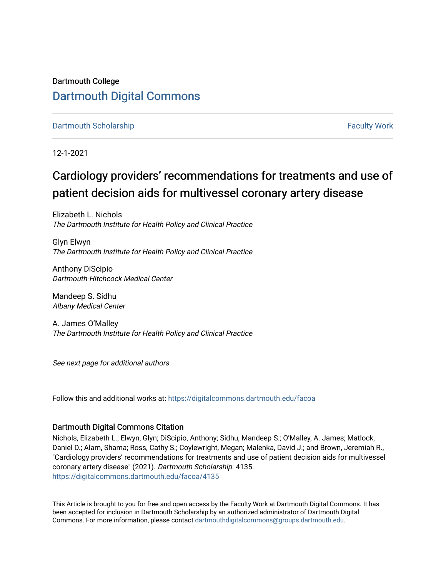## Dartmouth College [Dartmouth Digital Commons](https://digitalcommons.dartmouth.edu/)

[Dartmouth Scholarship](https://digitalcommons.dartmouth.edu/facoa) [Faculty Work](https://digitalcommons.dartmouth.edu/faculty) and The Basic Scholarship Faculty Work Faculty Work

12-1-2021

# Cardiology providers' recommendations for treatments and use of patient decision aids for multivessel coronary artery disease

Elizabeth L. Nichols The Dartmouth Institute for Health Policy and Clinical Practice

Glyn Elwyn The Dartmouth Institute for Health Policy and Clinical Practice

Anthony DiScipio Dartmouth-Hitchcock Medical Center

Mandeep S. Sidhu Albany Medical Center

A. James O'Malley The Dartmouth Institute for Health Policy and Clinical Practice

See next page for additional authors

Follow this and additional works at: [https://digitalcommons.dartmouth.edu/facoa](https://digitalcommons.dartmouth.edu/facoa?utm_source=digitalcommons.dartmouth.edu%2Ffacoa%2F4135&utm_medium=PDF&utm_campaign=PDFCoverPages)

#### Dartmouth Digital Commons Citation

Nichols, Elizabeth L.; Elwyn, Glyn; DiScipio, Anthony; Sidhu, Mandeep S.; O'Malley, A. James; Matlock, Daniel D.; Alam, Shama; Ross, Cathy S.; Coylewright, Megan; Malenka, David J.; and Brown, Jeremiah R., "Cardiology providers' recommendations for treatments and use of patient decision aids for multivessel coronary artery disease" (2021). Dartmouth Scholarship. 4135. [https://digitalcommons.dartmouth.edu/facoa/4135](https://digitalcommons.dartmouth.edu/facoa/4135?utm_source=digitalcommons.dartmouth.edu%2Ffacoa%2F4135&utm_medium=PDF&utm_campaign=PDFCoverPages) 

This Article is brought to you for free and open access by the Faculty Work at Dartmouth Digital Commons. It has been accepted for inclusion in Dartmouth Scholarship by an authorized administrator of Dartmouth Digital Commons. For more information, please contact [dartmouthdigitalcommons@groups.dartmouth.edu](mailto:dartmouthdigitalcommons@groups.dartmouth.edu).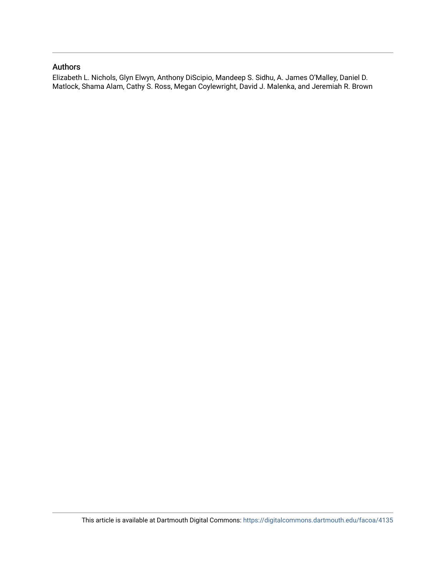### Authors

Elizabeth L. Nichols, Glyn Elwyn, Anthony DiScipio, Mandeep S. Sidhu, A. James O'Malley, Daniel D. Matlock, Shama Alam, Cathy S. Ross, Megan Coylewright, David J. Malenka, and Jeremiah R. Brown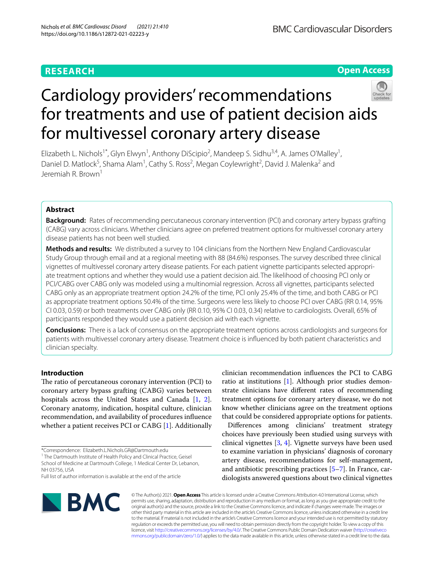**BMC Cardiovascular Disorders** 

#### **Open Access**

# Cardiology providers' recommendations for treatments and use of patient decision aids for multivessel coronary artery disease

Elizabeth L. Nichols<sup>1\*</sup>, Glyn Elwyn<sup>1</sup>, Anthony DiScipio<sup>2</sup>, Mandeep S. Sidhu<sup>3,4</sup>, A. James O'Malley<sup>1</sup>, Daniel D. Matlock<sup>5</sup>, Shama Alam<sup>1</sup>, Cathy S. Ross<sup>2</sup>, Megan Coylewright<sup>2</sup>, David J. Malenka<sup>2</sup> and Jeremiah R. Brown1

#### **Abstract**

**Background:** Rates of recommending percutaneous coronary intervention (PCI) and coronary artery bypass grafting (CABG) vary across clinicians. Whether clinicians agree on preferred treatment options for multivessel coronary artery disease patients has not been well studied.

**Methods and results:** We distributed a survey to 104 clinicians from the Northern New England Cardiovascular Study Group through email and at a regional meeting with 88 (84.6%) responses. The survey described three clinical vignettes of multivessel coronary artery disease patients. For each patient vignette participants selected appropriate treatment options and whether they would use a patient decision aid. The likelihood of choosing PCI only or PCI/CABG over CABG only was modeled using a multinomial regression. Across all vignettes, participants selected CABG only as an appropriate treatment option 24.2% of the time, PCI only 25.4% of the time, and both CABG or PCI as appropriate treatment options 50.4% of the time. Surgeons were less likely to choose PCI over CABG (RR 0.14, 95% CI 0.03, 0.59) or both treatments over CABG only (RR 0.10, 95% CI 0.03, 0.34) relative to cardiologists. Overall, 65% of participants responded they would use a patient decision aid with each vignette.

**Conclusions:** There is a lack of consensus on the appropriate treatment options across cardiologists and surgeons for patients with multivessel coronary artery disease. Treatment choice is infuenced by both patient characteristics and clinician specialty.

#### **Introduction**

The ratio of percutaneous coronary intervention (PCI) to coronary artery bypass grafting (CABG) varies between hospitals across the United States and Canada [\[1](#page-10-0), [2](#page-10-1)]. Coronary anatomy, indication, hospital culture, clinician recommendation, and availability of procedures infuence whether a patient receives PCI or CABG [\[1](#page-10-0)]. Additionally

<sup>1</sup> The Dartmouth Institute of Health Policy and Clinical Practice, Geisel School of Medicine at Dartmouth College, 1 Medical Center Dr, Lebanon, NH 03756, USA

clinician recommendation infuences the PCI to CABG ratio at institutions [[1\]](#page-10-0). Although prior studies demonstrate clinicians have diferent rates of recommending treatment options for coronary artery disease, we do not know whether clinicians agree on the treatment options that could be considered appropriate options for patients.

Diferences among clinicians' treatment strategy choices have previously been studied using surveys with clinical vignettes [[3,](#page-10-2) [4](#page-10-3)]. Vignette surveys have been used to examine variation in physicians' diagnosis of coronary artery disease, recommendations for self-management, and antibiotic prescribing practices [\[5](#page-10-4)[–7\]](#page-10-5). In France, cardiologists answered questions about two clinical vignettes



© The Author(s) 2021. **Open Access** This article is licensed under a Creative Commons Attribution 4.0 International License, which permits use, sharing, adaptation, distribution and reproduction in any medium or format, as long as you give appropriate credit to the original author(s) and the source, provide a link to the Creative Commons licence, and indicate if changes were made. The images or other third party material in this article are included in the article's Creative Commons licence, unless indicated otherwise in a credit line to the material. If material is not included in the article's Creative Commons licence and your intended use is not permitted by statutory regulation or exceeds the permitted use, you will need to obtain permission directly from the copyright holder. To view a copy of this licence, visit [http://creativecommons.org/licenses/by/4.0/.](http://creativecommons.org/licenses/by/4.0/) The Creative Commons Public Domain Dedication waiver ([http://creativeco](http://creativecommons.org/publicdomain/zero/1.0/) [mmons.org/publicdomain/zero/1.0/](http://creativecommons.org/publicdomain/zero/1.0/)) applies to the data made available in this article, unless otherwise stated in a credit line to the data.

<sup>\*</sup>Correspondence: Elizabeth.L.Nichols.GR@Dartmouth.edu

Full list of author information is available at the end of the article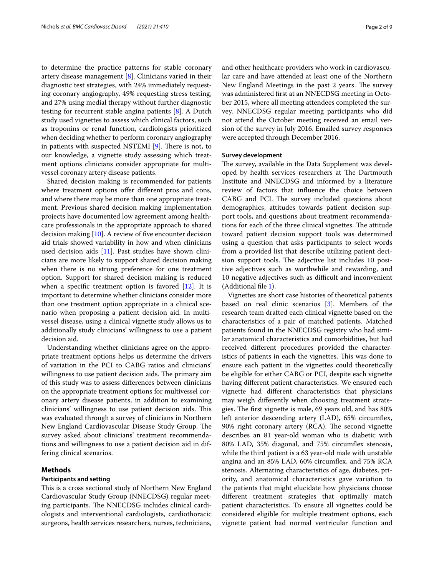to determine the practice patterns for stable coronary artery disease management [\[8](#page-10-6)]. Clinicians varied in their diagnostic test strategies, with 24% immediately requesting coronary angiography, 49% requesting stress testing, and 27% using medial therapy without further diagnostic testing for recurrent stable angina patients [\[8\]](#page-10-6). A Dutch study used vignettes to assess which clinical factors, such as troponins or renal function, cardiologists prioritized when deciding whether to perform coronary angiography in patients with suspected NSTEMI  $[9]$  $[9]$ . There is not, to our knowledge, a vignette study assessing which treatment options clinicians consider appropriate for multivessel coronary artery disease patients.

Shared decision making is recommended for patients where treatment options offer different pros and cons, and where there may be more than one appropriate treatment. Previous shared decision making implementation projects have documented low agreement among healthcare professionals in the appropriate approach to shared decision making  $[10]$ . A review of five encounter decision aid trials showed variability in how and when clinicians used decision aids [[11\]](#page-10-9). Past studies have shown clinicians are more likely to support shared decision making when there is no strong preference for one treatment option. Support for shared decision making is reduced when a specifc treatment option is favored [\[12](#page-10-10)]. It is important to determine whether clinicians consider more than one treatment option appropriate in a clinical scenario when proposing a patient decision aid. In multivessel disease, using a clinical vignette study allows us to additionally study clinicians' willingness to use a patient decision aid.

Understanding whether clinicians agree on the appropriate treatment options helps us determine the drivers of variation in the PCI to CABG ratios and clinicians' willingness to use patient decision aids. The primary aim of this study was to assess diferences between clinicians on the appropriate treatment options for multivessel coronary artery disease patients, in addition to examining clinicians' willingness to use patient decision aids. This was evaluated through a survey of clinicians in Northern New England Cardiovascular Disease Study Group. The survey asked about clinicians' treatment recommendations and willingness to use a patient decision aid in differing clinical scenarios.

#### **Methods**

#### **Participants and setting**

This is a cross sectional study of Northern New England Cardiovascular Study Group (NNECDSG) regular meeting participants. The NNECDSG includes clinical cardiologists and interventional cardiologists, cardiothoracic surgeons, health services researchers, nurses, technicians, and other healthcare providers who work in cardiovascular care and have attended at least one of the Northern New England Meetings in the past 2 years. The survey was administered frst at an NNECDSG meeting in October 2015, where all meeting attendees completed the survey. NNECDSG regular meeting participants who did not attend the October meeting received an email ver-

sion of the survey in July 2016. Emailed survey responses

were accepted through December 2016.

#### **Survey development**

The survey, available in the Data Supplement was developed by health services researchers at The Dartmouth Institute and NNECDSG and informed by a literature review of factors that infuence the choice between CABG and PCI. The survey included questions about demographics, attitudes towards patient decision support tools, and questions about treatment recommendations for each of the three clinical vignettes. The attitude toward patient decision support tools was determined using a question that asks participants to select words from a provided list that describe utilizing patient decision support tools. The adjective list includes 10 positive adjectives such as worthwhile and rewarding, and 10 negative adjectives such as difficult and inconvenient (Additional fle [1](#page-9-0)).

Vignettes are short case histories of theoretical patients based on real clinic scenarios [\[3\]](#page-10-2). Members of the research team drafted each clinical vignette based on the characteristics of a pair of matched patients. Matched patients found in the NNECDSG registry who had similar anatomical characteristics and comorbidities, but had received diferent procedures provided the characteristics of patients in each the vignettes. This was done to ensure each patient in the vignettes could theoretically be eligible for either CABG or PCI, despite each vignette having diferent patient characteristics. We ensured each vignette had diferent characteristics that physicians may weigh diferently when choosing treatment strategies. The first vignette is male, 69 years old, and has 80% left anterior descending artery (LAD), 65% circumfex, 90% right coronary artery (RCA). The second vignette describes an 81 year-old woman who is diabetic with 80% LAD, 35% diagonal, and 75% circumfex stenosis, while the third patient is a 63 year-old male with unstable angina and an 85% LAD, 60% circumfex, and 75% RCA stenosis. Alternating characteristics of age, diabetes, priority, and anatomical characteristics gave variation to the patients that might elucidate how physicians choose diferent treatment strategies that optimally match patient characteristics. To ensure all vignettes could be considered eligible for multiple treatment options, each vignette patient had normal ventricular function and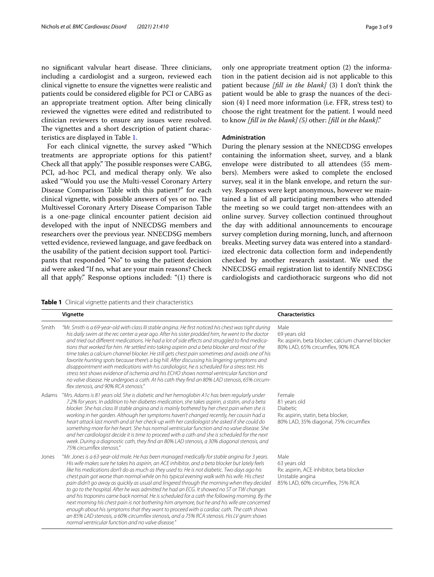no significant valvular heart disease. Three clinicians, including a cardiologist and a surgeon, reviewed each clinical vignette to ensure the vignettes were realistic and patients could be considered eligible for PCI or CABG as an appropriate treatment option. After being clinically reviewed the vignettes were edited and redistributed to clinician reviewers to ensure any issues were resolved. The vignettes and a short description of patient characteristics are displayed in Table [1](#page-4-0).

For each clinical vignette, the survey asked "Which treatments are appropriate options for this patient? Check all that apply." The possible responses were CABG, PCI, ad-hoc PCI, and medical therapy only. We also asked "Would you use the Multi-vessel Coronary Artery Disease Comparison Table with this patient?" for each clinical vignette, with possible answers of yes or no. The Multivessel Coronary Artery Disease Comparison Table is a one-page clinical encounter patient decision aid developed with the input of NNECDSG members and researchers over the previous year. NNECDSG members vetted evidence, reviewed language, and gave feedback on the usability of the patient decision support tool. Participants that responded "No" to using the patient decision aid were asked "If no, what are your main reasons? Check all that apply." Response options included: "(1) there is only one appropriate treatment option (2) the information in the patient decision aid is not applicable to this patient because *[fll in the blank]* (3) I don't think the patient would be able to grasp the nuances of the decision (4) I need more information (i.e. FFR, stress test) to choose the right treatment for the patient. I would need to know *[fll in the blank] (5)* other: *[fll in the blank]*."

#### **Administration**

During the plenary session at the NNECDSG envelopes containing the information sheet, survey, and a blank envelope were distributed to all attendees (55 members). Members were asked to complete the enclosed survey, seal it in the blank envelope, and return the survey. Responses were kept anonymous, however we maintained a list of all participating members who attended the meeting so we could target non-attendees with an online survey. Survey collection continued throughout the day with additional announcements to encourage survey completion during morning, lunch, and afternoon breaks. Meeting survey data was entered into a standardized electronic data collection form and independently checked by another research assistant. We used the NNECDSG email registration list to identify NNECDSG cardiologists and cardiothoracic surgeons who did not

<span id="page-4-0"></span>**Table 1** Clinical vignette patients and their characteristics

|       | Vignette                                                                                                                                                                                                                                                                                                                                                                                                                                                                                                                                                                                                                                                                                                                                                                                                                                                                                                                                                                                                                                | <b>Characteristics</b>                                                                                                  |
|-------|-----------------------------------------------------------------------------------------------------------------------------------------------------------------------------------------------------------------------------------------------------------------------------------------------------------------------------------------------------------------------------------------------------------------------------------------------------------------------------------------------------------------------------------------------------------------------------------------------------------------------------------------------------------------------------------------------------------------------------------------------------------------------------------------------------------------------------------------------------------------------------------------------------------------------------------------------------------------------------------------------------------------------------------------|-------------------------------------------------------------------------------------------------------------------------|
|       |                                                                                                                                                                                                                                                                                                                                                                                                                                                                                                                                                                                                                                                                                                                                                                                                                                                                                                                                                                                                                                         |                                                                                                                         |
| Smith | "Mr. Smith is a 69-year-old with class III stable angina. He first noticed his chest was tight during<br>his daily swim at the rec center a year ago. After his sister prodded him, he went to the doctor<br>and tried out different medications. He had a lot of side effects and struggled to find medica-<br>tions that worked for him. He settled into taking aspirin and a beta blocker and most of the<br>time takes a calcium channel blocker. He still gets chest pain sometimes and avoids one of his<br>favorite hunting spots because there's a big hill. After discussing his lingering symptoms and<br>disappointment with medications with his cardiologist, he is scheduled for a stress test. His<br>stress test shows evidence of ischemia and his ECHO shows normal ventricular function and<br>no valve disease. He undergoes a cath. At his cath they find an 80% LAD stenosis, 65% circum-<br>flex stenosis, and 90% RCA stenosis."                                                                                | Male<br>69 years old<br>Rx: aspirin, beta blocker, calcium channel blocker<br>80% LAD, 65% circumflex, 90% RCA          |
| Adams | "Mrs. Adams is 81 years old. She is diabetic and her hemoglobin A1c has been regularly under<br>7.2% for years. In addition to her diabetes medication, she takes aspirin, a statin, and a beta<br>blocker. She has class III stable angina and is mainly bothered by her chest pain when she is<br>working in her garden. Although her symptoms haven't changed recently, her cousin had a<br>heart attack last month and at her check-up with her cardiologist she asked if she could do<br>something more for her heart. She has normal ventricular function and no valve disease. She<br>and her cardiologist decide it is time to proceed with a cath and she is scheduled for the next<br>week. During a diagnostic cath, they find an 80% LAD stenosis, a 30% diagonal stenosis, and<br>75% circumflex stenosis."                                                                                                                                                                                                                | Female<br>81 years old<br>Diabetic<br>Rx: aspirin, statin, beta blocker,<br>80% LAD, 35% diagonal, 75% circumflex       |
| Jones | "Mr. Jones is a 63-year-old male. He has been managed medically for stable angina for 3 years.<br>His wife makes sure he takes his aspirin, an ACE inhibitor, and a beta blocker but lately feels<br>like his medications don't do as much as they used to. He is not diabetic. Two days ago his<br>chest pain got worse than normal while on his typical evening walk with his wife. His chest<br>pain didn't go away as quickly as usual and lingered through the morning when they decided<br>to go to the hospital. After he was admitted he had an ECG. It showed no ST or TW changes<br>and his troponins came back normal. He is scheduled for a cath the following morning. By the<br>next morning his chest pain is not bothering him anymore, but he and his wife are concerned<br>enough about his symptoms that they want to proceed with a cardiac cath. The cath shows<br>an 85% LAD stenosis, a 60% circumflex stenosis, and a 75% RCA stenosis. His LV gram shows<br>normal ventricular function and no valve disease." | Male<br>63 years old<br>Rx: aspirin, ACE inhibitor, beta blocker<br>Unstable angina<br>85% LAD, 60% circumflex, 75% RCA |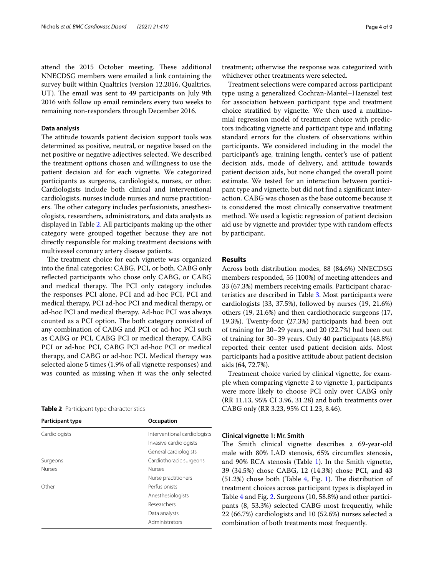attend the 2015 October meeting. These additional NNECDSG members were emailed a link containing the survey built within Qualtrics (version 12.2016, Qualtrics, UT). The email was sent to 49 participants on July 9th 2016 with follow up email reminders every two weeks to

remaining non-responders through December 2016.

#### **Data analysis**

The attitude towards patient decision support tools was determined as positive, neutral, or negative based on the net positive or negative adjectives selected. We described the treatment options chosen and willingness to use the patient decision aid for each vignette. We categorized participants as surgeons, cardiologists, nurses, or other. Cardiologists include both clinical and interventional cardiologists, nurses include nurses and nurse practitioners. The other category includes perfusionists, anesthesiologists, researchers, administrators, and data analysts as displayed in Table [2](#page-5-0). All participants making up the other category were grouped together because they are not directly responsible for making treatment decisions with multivessel coronary artery disease patients.

The treatment choice for each vignette was organized into the fnal categories: CABG, PCI, or both. CABG only refected participants who chose only CABG, or CABG and medical therapy. The PCI only category includes the responses PCI alone, PCI and ad-hoc PCI, PCI and medical therapy, PCI ad-hoc PCI and medical therapy, or ad-hoc PCI and medical therapy. Ad-hoc PCI was always counted as a PCI option. The both category consisted of any combination of CABG and PCI or ad-hoc PCI such as CABG or PCI, CABG PCI or medical therapy, CABG PCI or ad-hoc PCI, CABG PCI ad-hoc PCI or medical therapy, and CABG or ad-hoc PCI. Medical therapy was selected alone 5 times (1.9% of all vignette responses) and was counted as missing when it was the only selected

<span id="page-5-0"></span>

|  | Table 2 Participant type characteristics |
|--|------------------------------------------|
|--|------------------------------------------|

| Participant type | Occupation                   |
|------------------|------------------------------|
| Cardiologists    | Interventional cardiologists |
|                  | Invasive cardiologists       |
|                  | General cardiologists        |
| Surgeons         | Cardiothoracic surgeons      |
| <b>Nurses</b>    | <b>Nurses</b>                |
|                  | Nurse practitioners          |
| Other            | Perfusionists                |
|                  | Anesthesiologists            |
|                  | Researchers                  |
|                  | Data analysts                |
|                  | Administrators               |
|                  |                              |

treatment; otherwise the response was categorized with whichever other treatments were selected.

Treatment selections were compared across participant type using a generalized Cochran-Mantel–Haenszel test for association between participant type and treatment choice stratifed by vignette. We then used a multinomial regression model of treatment choice with predictors indicating vignette and participant type and infating standard errors for the clusters of observations within participants. We considered including in the model the participant's age, training length, center's use of patient decision aids, mode of delivery, and attitude towards patient decision aids, but none changed the overall point estimate. We tested for an interaction between participant type and vignette, but did not fnd a signifcant interaction. CABG was chosen as the base outcome because it is considered the most clinically conservative treatment method. We used a logistic regression of patient decision aid use by vignette and provider type with random efects by participant.

#### **Results**

Across both distribution modes, 88 (84.6%) NNECDSG members responded, 55 (100%) of meeting attendees and 33 (67.3%) members receiving emails. Participant characteristics are described in Table [3](#page-6-0). Most participants were cardiologists (33, 37.5%), followed by nurses (19, 21.6%) others (19, 21.6%) and then cardiothoracic surgeons (17, 19.3%). Twenty-four (27.3%) participants had been out of training for 20–29 years, and 20 (22.7%) had been out of training for 30–39 years. Only 40 participants (48.8%) reported their center used patient decision aids. Most participants had a positive attitude about patient decision aids (64, 72.7%).

Treatment choice varied by clinical vignette, for example when comparing vignette 2 to vignette 1, participants were more likely to choose PCI only over CABG only (RR 11.13, 95% CI 3.96, 31.28) and both treatments over CABG only (RR 3.23, 95% CI 1.23, 8.46).

#### **Clinical vignette 1: Mr. Smith**

The Smith clinical vignette describes a 69-year-old male with 80% LAD stenosis, 65% circumfex stenosis, and 90% RCA stenosis (Table [1](#page-4-0)). In the Smith vignette, 39 (34.5%) chose CABG, 12 (14.3%) chose PCI, and 43  $(51.2%)$  chose both (Table [4,](#page-6-1) Fig. [1\)](#page-7-0). The distribution of treatment choices across participant types is displayed in Table [4](#page-6-1) and Fig. [2.](#page-7-1) Surgeons (10, 58.8%) and other participants (8, 53.3%) selected CABG most frequently, while 22 (66.7%) cardiologists and 10 (52.6%) nurses selected a combination of both treatments most frequently.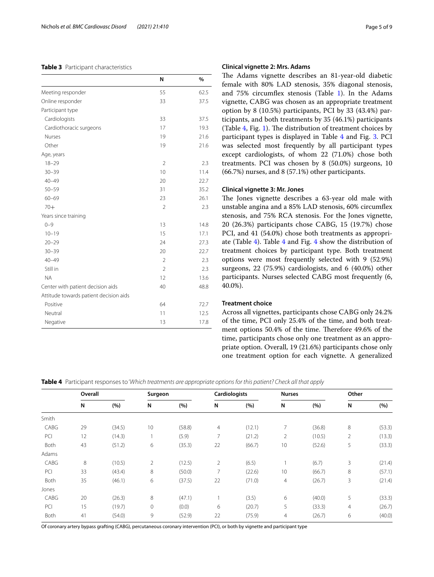#### <span id="page-6-0"></span>**Table 3** Participant characteristics

|                                        | N              | $\%$ |
|----------------------------------------|----------------|------|
| Meeting responder                      | 55             | 62.5 |
| Online responder                       | 33             | 37.5 |
| Participant type                       |                |      |
| Cardiologists                          | 33             | 37.5 |
| Cardiothoracic surgeons                | 17             | 19.3 |
| Nurses                                 | 19             | 21.6 |
| Other                                  | 19             | 21.6 |
| Age, years                             |                |      |
| $18 - 29$                              | $\overline{2}$ | 2.3  |
| $30 - 39$                              | 10             | 11.4 |
| $40 - 49$                              | 20             | 22.7 |
| $50 - 59$                              | 31             | 35.2 |
| $60 - 69$                              | 23             | 26.1 |
| $70+$                                  | $\overline{2}$ | 2.3  |
| Years since training                   |                |      |
| $0 - 9$                                | 13             | 14.8 |
| $10 - 19$                              | 15             | 17.1 |
| $20 - 29$                              | 24             | 27.3 |
| $30 - 39$                              | 20             | 22.7 |
| $40 - 49$                              | $\overline{2}$ | 2.3  |
| Still in                               | $\overline{2}$ | 2.3  |
| <b>NA</b>                              | 12             | 13.6 |
| Center with patient decision aids      | 40             | 48.8 |
| Attitude towards patient decision aids |                |      |
| Positive                               | 64             | 72.7 |
| Neutral                                | 11             | 12.5 |
| Negative                               | 13             | 17.8 |

#### **Clinical vignette 2: Mrs. Adams**

The Adams vignette describes an 81-year-old diabetic female with 80% LAD stenosis, 35% diagonal stenosis, and 75% circumfex stenosis (Table [1\)](#page-4-0). In the Adams vignette, CABG was chosen as an appropriate treatment option by 8 (10.5%) participants, PCI by 33 (43.4%) participants, and both treatments by 35 (46.1%) participants (Table  $4$ , Fig. [1](#page-7-0)). The distribution of treatment choices by participant types is displayed in Table [4](#page-6-1) and Fig. [3](#page-7-2). PCI was selected most frequently by all participant types except cardiologists, of whom 22 (71.0%) chose both treatments. PCI was chosen by 8 (50.0%) surgeons, 10 (66.7%) nurses, and 8 (57.1%) other participants.

#### **Clinical vignette 3: Mr. Jones**

The Jones vignette describes a 63-year old male with unstable angina and a 85% LAD stenosis, 60% circumfex stenosis, and 75% RCA stenosis. For the Jones vignette, 20 (26.3%) participants chose CABG, 15 (19.7%) chose PCI, and 41 (54.0%) chose both treatments as appropriate (Table [4](#page-6-1)). Table [4](#page-6-1) and Fig. [4](#page-7-3) show the distribution of treatment choices by participant type. Both treatment options were most frequently selected with 9 (52.9%) surgeons, 22 (75.9%) cardiologists, and 6 (40.0%) other participants. Nurses selected CABG most frequently (6, 40.0%).

#### **Treatment choice**

Across all vignettes, participants chose CABG only 24.2% of the time, PCI only 25.4% of the time, and both treatment options 50.4% of the time. Therefore 49.6% of the time, participants chose only one treatment as an appropriate option. Overall, 19 (21.6%) participants chose only one treatment option for each vignette. A generalized

<span id="page-6-1"></span>**Table 4** Participant responses to '*Which treatments are appropriate options for this patient? Check all that apply*

|       | Overall |        | Surgeon      |        | Cardiologists  |        | <b>Nurses</b>  |        | Other          |        |
|-------|---------|--------|--------------|--------|----------------|--------|----------------|--------|----------------|--------|
|       | N       | (%)    | N            | (%)    | N              | (%)    | N              | (%)    | N              | (%)    |
| Smith |         |        |              |        |                |        |                |        |                |        |
| CABG  | 29      | (34.5) | 10           | (58.8) | $\overline{4}$ | (12.1) | $\overline{7}$ | (36.8) | 8              | (53.3) |
| PCI   | 12      | (14.3) |              | (5.9)  | 7              | (21.2) | $\overline{2}$ | (10.5) | $\overline{2}$ | (13.3) |
| Both  | 43      | (51.2) | 6            | (35.3) | 22             | (66.7) | 10             | (52.6) | 5              | (33.3) |
| Adams |         |        |              |        |                |        |                |        |                |        |
| CABG  | 8       | (10.5) | 2            | (12.5) | 2              | (6.5)  |                | (6.7)  | 3              | (21.4) |
| PCI   | 33      | (43.4) | 8            | (50.0) | 7              | (22.6) | 10             | (66.7) | 8              | (57.1) |
| Both  | 35      | (46.1) | 6            | (37.5) | 22             | (71.0) | 4              | (26.7) | 3              | (21.4) |
| Jones |         |        |              |        |                |        |                |        |                |        |
| CABG  | 20      | (26.3) | 8            | (47.1) |                | (3.5)  | 6              | (40.0) | 5              | (33.3) |
| PCI   | 15      | (19.7) | $\mathbf{0}$ | (0.0)  | 6              | (20.7) | 5              | (33.3) | $\overline{4}$ | (26.7) |
| Both  | 41      | (54.0) | 9            | (52.9) | 22             | (75.9) | 4              | (26.7) | 6              | (40.0) |

Of coronary artery bypass grafting (CABG), percutaneous coronary intervention (PCI), or both by vignette and participant type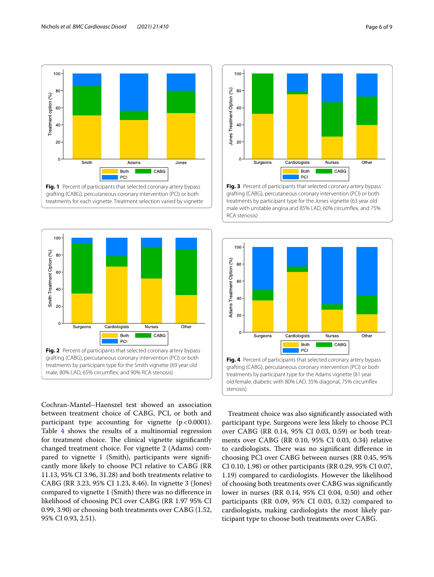

<span id="page-7-0"></span>

<span id="page-7-1"></span>Cochran-Mantel–Haenszel test showed an association between treatment choice of CABG, PCI, or both and participant type accounting for vignette  $(p < 0.0001)$ . Table [4](#page-6-1) shows the results of a multinomial regression for treatment choice. The clinical vignette significantly changed treatment choice. For vignette 2 (Adams) compared to vignette 1 (Smith), participants were signifcantly more likely to choose PCI relative to CABG (RR 11.13, 95% CI 3.96, 31.28) and both treatments relative to CABG (RR 3.23, 95% CI 1.23, 8.46). In vignette 3 (Jones) compared to vignette 1 (Smith) there was no diference in likelihood of choosing PCI over CABG (RR 1.97 95% CI 0.99, 3.90) or choosing both treatments over CABG (1.52, 95% CI 0.93, 2.51).



<span id="page-7-2"></span>**Fig. 3** Percent of participants that selected coronary artery bypass grafting (CABG), percutaneous coronary intervention (PCI) or both treatments by participant type for the Jones vignette (63 year old male with unstable angina and 85% LAD, 60% circumfex, and 75% RCA stenosis)



<span id="page-7-3"></span>Treatment choice was also signifcantly associated with participant type. Surgeons were less likely to choose PCI over CABG (RR 0.14, 95% CI 0.03, 0.59) or both treatments over CABG (RR 0.10, 95% CI 0.03, 0.34) relative to cardiologists. There was no significant difference in choosing PCI over CABG between nurses (RR 0.45, 95% CI 0.10, 1.98) or other participants (RR 0.29, 95% CI 0.07, 1.19) compared to cardiologists. However the likelihood of choosing both treatments over CABG was signifcantly lower in nurses (RR 0.14, 95% CI 0.04, 0.50) and other participants (RR 0.09, 95% CI 0.03, 0.32) compared to cardiologists, making cardiologists the most likely participant type to choose both treatments over CABG.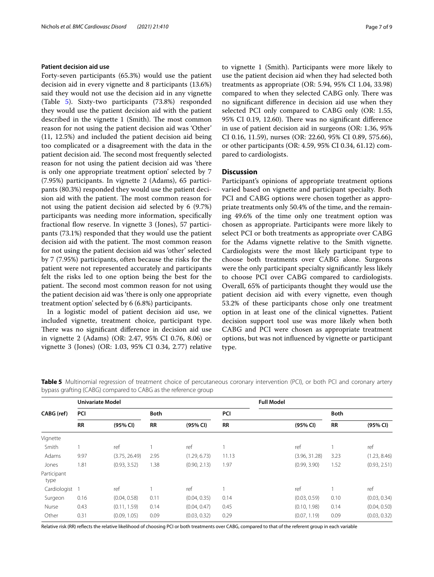#### **Patient decision aid use**

Forty-seven participants (65.3%) would use the patient decision aid in every vignette and 8 participants (13.6%) said they would not use the decision aid in any vignette (Table [5](#page-8-0)). Sixty-two participants (73.8%) responded they would use the patient decision aid with the patient described in the vignette 1 (Smith). The most common reason for not using the patient decision aid was 'Other' (11, 12.5%) and included the patient decision aid being too complicated or a disagreement with the data in the patient decision aid. The second most frequently selected reason for not using the patient decision aid was 'there is only one appropriate treatment option' selected by 7 (7.95%) participants. In vignette 2 (Adams), 65 participants (80.3%) responded they would use the patient decision aid with the patient. The most common reason for not using the patient decision aid selected by 6 (9.7%) participants was needing more information, specifcally fractional fow reserve. In vignette 3 (Jones), 57 participants (73.1%) responded that they would use the patient decision aid with the patient. The most common reason for not using the patient decision aid was 'other' selected by 7 (7.95%) participants, often because the risks for the patient were not represented accurately and participants felt the risks led to one option being the best for the patient. The second most common reason for not using the patient decision aid was 'there is only one appropriate treatment option' selected by 6 (6.8%) participants.

In a logistic model of patient decision aid use, we included vignette, treatment choice, participant type. There was no significant difference in decision aid use in vignette 2 (Adams) (OR: 2.47, 95% CI 0.76, 8.06) or vignette 3 (Jones) (OR: 1.03, 95% CI 0.34, 2.77) relative

to vignette 1 (Smith). Participants were more likely to use the patient decision aid when they had selected both treatments as appropriate (OR: 5.94, 95% CI 1.04, 33.98) compared to when they selected CABG only. There was no signifcant diference in decision aid use when they selected PCI only compared to CABG only (OR: 1.55, 95% CI 0.19, 12.60). There was no significant difference in use of patient decision aid in surgeons (OR: 1.36, 95% CI 0.16, 11.59), nurses (OR: 22.60, 95% CI 0.89, 575.66), or other participants (OR: 4.59, 95% CI 0.34, 61.12) compared to cardiologists.

#### **Discussion**

Participant's opinions of appropriate treatment options varied based on vignette and participant specialty. Both PCI and CABG options were chosen together as appropriate treatments only 50.4% of the time, and the remaining 49.6% of the time only one treatment option was chosen as appropriate. Participants were more likely to select PCI or both treatments as appropriate over CABG for the Adams vignette relative to the Smith vignette. Cardiologists were the most likely participant type to choose both treatments over CABG alone. Surgeons were the only participant specialty signifcantly less likely to choose PCI over CABG compared to cardiologists. Overall, 65% of participants thought they would use the patient decision aid with every vignette, even though 53.2% of these participants chose only one treatment option in at least one of the clinical vignettes. Patient decision support tool use was more likely when both CABG and PCI were chosen as appropriate treatment options, but was not infuenced by vignette or participant type.

|                     | <b>Univariate Model</b> |               |             |              |           | <b>Full Model</b> |             |              |  |
|---------------------|-------------------------|---------------|-------------|--------------|-----------|-------------------|-------------|--------------|--|
| CABG (ref)          | PCI                     |               | <b>Both</b> |              | PCI       |                   | <b>Both</b> |              |  |
|                     | <b>RR</b>               | (95% CI)      | <b>RR</b>   | (95% CI)     | <b>RR</b> | (95% CI)          | <b>RR</b>   | (95% CI)     |  |
| Vignette            |                         |               |             |              |           |                   |             |              |  |
| Smith               |                         | ref           |             | ref          |           | ref               |             | ref          |  |
| Adams               | 9.97                    | (3.75, 26.49) | 2.95        | (1.29, 6.73) | 11.13     | (3.96, 31.28)     | 3.23        | (1.23, 8.46) |  |
| Jones               | 1.81                    | (0.93, 3.52)  | 1.38        | (0.90, 2.13) | 1.97      | (0.99, 3.90)      | 1.52        | (0.93, 2.51) |  |
| Participant<br>type |                         |               |             |              |           |                   |             |              |  |
| Cardiologist 1      |                         | ref           |             | ref          |           | ref               |             | ref          |  |
| Surgeon             | 0.16                    | (0.04, 0.58)  | 0.11        | (0.04, 0.35) | 0.14      | (0.03, 0.59)      | 0.10        | (0.03, 0.34) |  |
| Nurse               | 0.43                    | (0.11, 1.59)  | 0.14        | (0.04, 0.47) | 0.45      | (0.10, 1.98)      | 0.14        | (0.04, 0.50) |  |
| Other               | 0.31                    | (0.09, 1.05)  | 0.09        | (0.03, 0.32) | 0.29      | (0.07, 1.19)      | 0.09        | (0.03, 0.32) |  |

<span id="page-8-0"></span>**Table 5** Multinomial regression of treatment choice of percutaneous coronary intervention (PCI), or both PCI and coronary artery bypass grafting (CABG) compared to CABG as the reference group

Relative risk (RR) refects the relative likelihood of choosing PCI or both treatments over CABG, compared to that of the referent group in each variable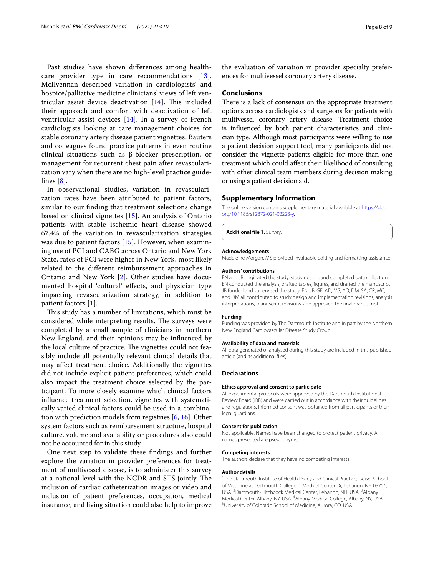Past studies have shown diferences among healthcare provider type in care recommendations [[13\]](#page-10-11). McIlvennan described variation in cardiologists' and hospice/palliative medicine clinicians' views of left ventricular assist device deactivation  $[14]$  $[14]$ . This included their approach and comfort with deactivation of left ventricular assist devices [\[14\]](#page-10-12). In a survey of French cardiologists looking at care management choices for stable coronary artery disease patient vignettes, Bauters and colleagues found practice patterns in even routine clinical situations such as β-blocker prescription, or management for recurrent chest pain after revascularization vary when there are no high-level practice guidelines [[8](#page-10-6)].

In observational studies, variation in revascularization rates have been attributed to patient factors, similar to our fnding that treatment selections change based on clinical vignettes [\[15\]](#page-10-13). An analysis of Ontario patients with stable ischemic heart disease showed 67.4% of the variation in revascularization strategies was due to patient factors [[15\]](#page-10-13). However, when examining use of PCI and CABG across Ontario and New York State, rates of PCI were higher in New York, most likely related to the diferent reimbursement approaches in Ontario and New York [[2\]](#page-10-1). Other studies have documented hospital 'cultural' efects, and physician type impacting revascularization strategy, in addition to patient factors [\[1](#page-10-0)].

This study has a number of limitations, which must be considered while interpreting results. The surveys were completed by a small sample of clinicians in northern New England, and their opinions may be infuenced by the local culture of practice. The vignettes could not feasibly include all potentially relevant clinical details that may afect treatment choice. Additionally the vignettes did not include explicit patient preferences, which could also impact the treatment choice selected by the participant. To more closely examine which clinical factors infuence treatment selection, vignettes with systematically varied clinical factors could be used in a combination with prediction models from registries [[6,](#page-10-14) [16](#page-10-15)]. Other system factors such as reimbursement structure, hospital culture, volume and availability or procedures also could not be accounted for in this study.

One next step to validate these fndings and further explore the variation in provider preferences for treatment of multivessel disease, is to administer this survey at a national level with the NCDR and STS jointly. The inclusion of cardiac catheterization images or video and inclusion of patient preferences, occupation, medical insurance, and living situation could also help to improve the evaluation of variation in provider specialty preferences for multivessel coronary artery disease.

#### **Conclusions**

There is a lack of consensus on the appropriate treatment options across cardiologists and surgeons for patients with multivessel coronary artery disease. Treatment choice is infuenced by both patient characteristics and clinician type. Although most participants were willing to use a patient decision support tool, many participants did not consider the vignette patients eligible for more than one treatment which could afect their likelihood of consulting with other clinical team members during decision making or using a patient decision aid.

#### **Supplementary Information**

The online version contains supplementary material available at [https://doi.](https://doi.org/10.1186/s12872-021-02223-y) [org/10.1186/s12872-021-02223-y.](https://doi.org/10.1186/s12872-021-02223-y)

<span id="page-9-0"></span>**Additional fle 1.** Survey.

#### **Acknowledgements**

Madeleine Morgan, MS provided invaluable editing and formatting assistance.

#### **Authors' contributions**

EN and JB originated the study, study design, and completed data collection. EN conducted the analysis, drafted tables, fgures, and drafted the manuscript. JB funded and supervised the study. EN, JB, GE, AD, MS, AO, DM, SA, CR, MC, and DM all contributed to study design and implementation revisions, analysis interpretations, manuscript revisions, and approved the fnal manuscript.

#### **Funding**

Funding was provided by The Dartmouth Institute and in part by the Northern New England Cardiovascular Disease Study Group.

#### **Availability of data and materials**

All data generated or analysed during this study are included in this published article (and its additional fles).

#### **Declarations**

#### **Ethics approval and consent to participate**

All experimental protocols were approved by the Dartmouth Institutional Review Board (IRB) and were carried out in accordance with their guidelines and regulations. Informed consent was obtained from all participants or their legal guardians.

#### **Consent for publication**

Not applicable. Names have been changed to protect patient privacy. All names presented are pseudonyms.

#### **Competing interests**

The authors declare that they have no competing interests.

#### **Author details**

<sup>1</sup>The Dartmouth Institute of Health Policy and Clinical Practice, Geisel School of Medicine at Dartmouth College, 1 Medical Center Dr, Lebanon, NH 03756, USA. <sup>2</sup> Dartmouth-Hitchcock Medical Center, Lebanon, NH, USA. <sup>3</sup> Albany Medical Center, Albany, NY, USA. <sup>4</sup>Albany Medical College, Albany, NY, USA.<br><sup>5</sup>Llniversity of Colorado School of Medicine, Aurora, CO, USA. University of Colorado School of Medicine, Aurora, CO, USA.